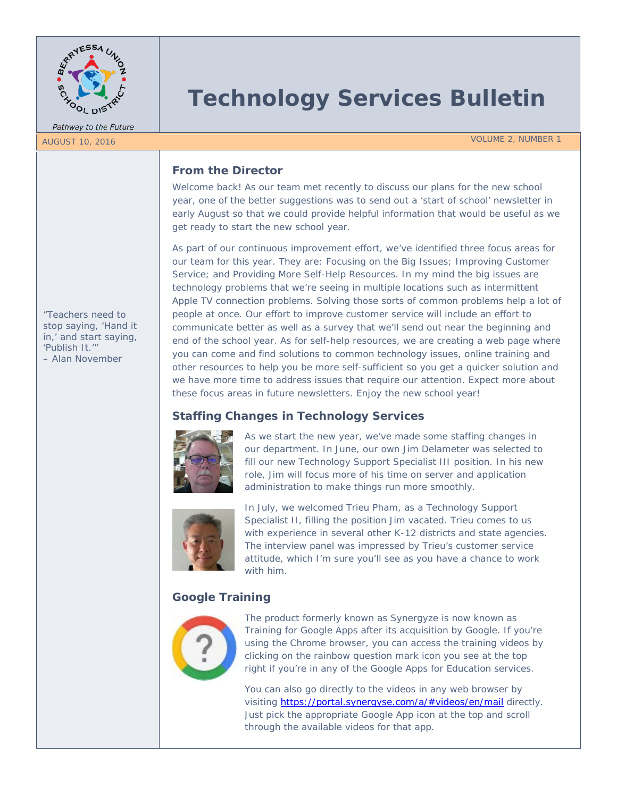

Pathway to the Future

# **Technology Services Bulletin**

#### AUGUST 10, 2016 VOLUME 2, NUMBER 1

## **From the Director**

Welcome back! As our team met recently to discuss our plans for the new school year, one of the better suggestions was to send out a 'start of school' newsletter in early August so that we could provide helpful information that would be useful as we get ready to start the new school year.

As part of our continuous improvement effort, we've identified three focus areas for our team for this year. They are: Focusing on the Big Issues; Improving Customer Service; and Providing More Self-Help Resources. In my mind the big issues are technology problems that we're seeing in multiple locations such as intermittent Apple TV connection problems. Solving those sorts of common problems help a lot of people at once. Our effort to improve customer service will include an effort to communicate better as well as a survey that we'll send out near the beginning and end of the school year. As for self-help resources, we are creating a web page where you can come and find solutions to common technology issues, online training and other resources to help you be more self-sufficient so you get a quicker solution and we have more time to address issues that require our attention. Expect more about these focus areas in future newsletters. Enjoy the new school year!

# **Staffing Changes in Technology Services**



As we start the new year, we've made some staffing changes in our department. In June, our own Jim Delameter was selected to fill our new Technology Support Specialist III position. In his new role, Jim will focus more of his time on server and application administration to make things run more smoothly.



In July, we welcomed Trieu Pham, as a Technology Support Specialist II, filling the position Jim vacated. Trieu comes to us with experience in several other K-12 districts and state agencies. The interview panel was impressed by Trieu's customer service attitude, which I'm sure you'll see as you have a chance to work with him.

# **Google Training**



The product formerly known as Synergyze is now known as Training for Google Apps after its acquisition by Google. If you're using the Chrome browser, you can access the training videos by clicking on the rainbow question mark icon you see at the top right if you're in any of the Google Apps for Education services.

You can also go directly to the videos in any web browser by visiting<https://portal.synergyse.com/a/#videos/en/mail> directly. Just pick the appropriate Google App icon at the top and scroll through the available videos for that app.

*"Teachers need to stop saying, 'Hand it in,' and start saying, 'Publish It.'" – Alan November*